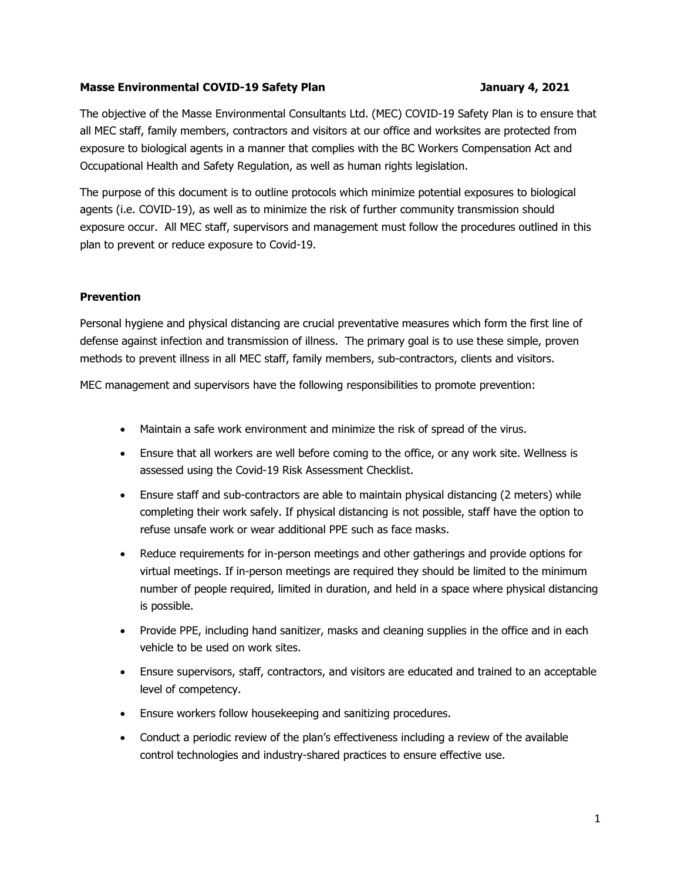#### Masse Environmental COVID-19 Safety Plan January 4, 2021

The objective of the Masse Environmental Consultants Ltd. (MEC) COVID-19 Safety Plan is to ensure that all MEC staff, family members, contractors and visitors at our office and worksites are protected from exposure to biological agents in a manner that complies with the BC Workers Compensation Act and Occupational Health and Safety Regulation, as well as human rights legislation.

The purpose of this document is to outline protocols which minimize potential exposures to biological agents (i.e. COVID-19), as well as to minimize the risk of further community transmission should exposure occur. All MEC staff, supervisors and management must follow the procedures outlined in this plan to prevent or reduce exposure to Covid-19.

## **Prevention**

Personal hygiene and physical distancing are crucial preventative measures which form the first line of defense against infection and transmission of illness. The primary goal is to use these simple, proven methods to prevent illness in all MEC staff, family members, sub-contractors, clients and visitors.

MEC management and supervisors have the following responsibilities to promote prevention:

- Maintain a safe work environment and minimize the risk of spread of the virus.
- Ensure that all workers are well before coming to the office, or any work site. Wellness is assessed using the Covid-19 Risk Assessment Checklist.
- Ensure staff and sub-contractors are able to maintain physical distancing (2 meters) while completing their work safely. If physical distancing is not possible, staff have the option to refuse unsafe work or wear additional PPE such as face masks.
- Reduce requirements for in-person meetings and other gatherings and provide options for virtual meetings. If in-person meetings are required they should be limited to the minimum number of people required, limited in duration, and held in a space where physical distancing is possible.
- Provide PPE, including hand sanitizer, masks and cleaning supplies in the office and in each vehicle to be used on work sites.
- Ensure supervisors, staff, contractors, and visitors are educated and trained to an acceptable level of competency.
- Ensure workers follow housekeeping and sanitizing procedures.
- Conduct a periodic review of the plan's effectiveness including a review of the available control technologies and industry-shared practices to ensure effective use.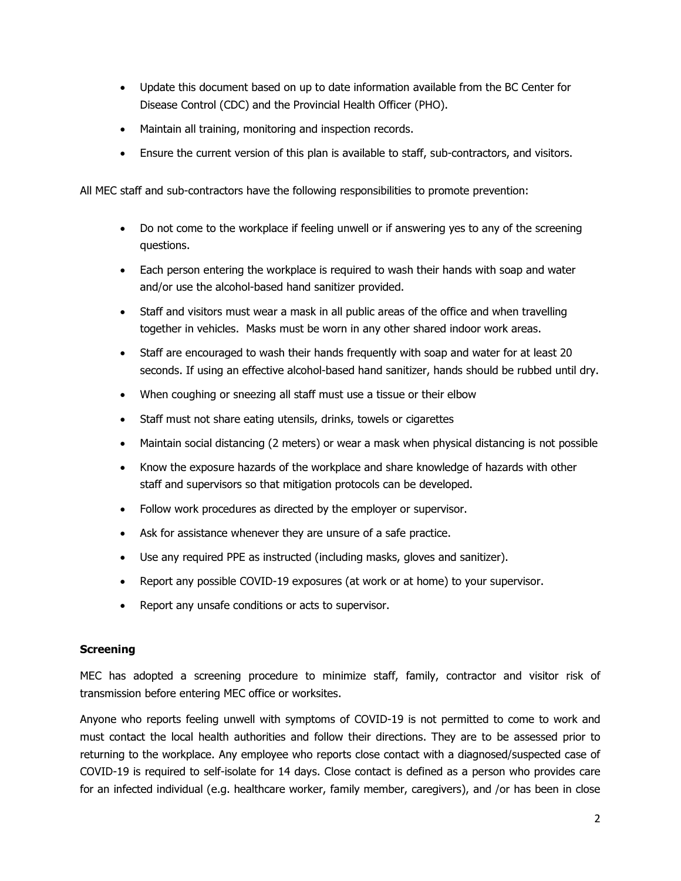- Update this document based on up to date information available from the BC Center for Disease Control (CDC) and the Provincial Health Officer (PHO).
- Maintain all training, monitoring and inspection records.
- Ensure the current version of this plan is available to staff, sub-contractors, and visitors.

All MEC staff and sub-contractors have the following responsibilities to promote prevention:

- Do not come to the workplace if feeling unwell or if answering yes to any of the screening questions.
- Each person entering the workplace is required to wash their hands with soap and water and/or use the alcohol-based hand sanitizer provided.
- Staff and visitors must wear a mask in all public areas of the office and when travelling together in vehicles. Masks must be worn in any other shared indoor work areas.
- Staff are encouraged to wash their hands frequently with soap and water for at least 20 seconds. If using an effective alcohol-based hand sanitizer, hands should be rubbed until dry.
- When coughing or sneezing all staff must use a tissue or their elbow
- Staff must not share eating utensils, drinks, towels or cigarettes
- Maintain social distancing (2 meters) or wear a mask when physical distancing is not possible
- Know the exposure hazards of the workplace and share knowledge of hazards with other staff and supervisors so that mitigation protocols can be developed.
- Follow work procedures as directed by the employer or supervisor.
- Ask for assistance whenever they are unsure of a safe practice.
- Use any required PPE as instructed (including masks, gloves and sanitizer).
- Report any possible COVID-19 exposures (at work or at home) to your supervisor.
- Report any unsafe conditions or acts to supervisor.

## **Screening**

MEC has adopted a screening procedure to minimize staff, family, contractor and visitor risk of transmission before entering MEC office or worksites.

Anyone who reports feeling unwell with symptoms of COVID-19 is not permitted to come to work and must contact the local health authorities and follow their directions. They are to be assessed prior to returning to the workplace. Any employee who reports close contact with a diagnosed/suspected case of COVID-19 is required to self-isolate for 14 days. Close contact is defined as a person who provides care for an infected individual (e.g. healthcare worker, family member, caregivers), and /or has been in close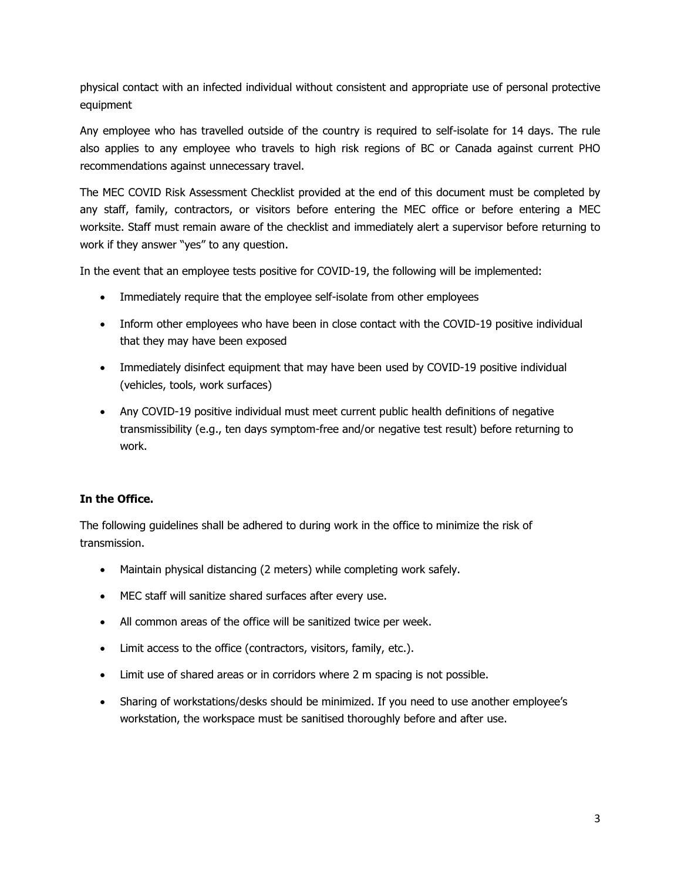physical contact with an infected individual without consistent and appropriate use of personal protective equipment

Any employee who has travelled outside of the country is required to self-isolate for 14 days. The rule also applies to any employee who travels to high risk regions of BC or Canada against current PHO recommendations against unnecessary travel.

The MEC COVID Risk Assessment Checklist provided at the end of this document must be completed by any staff, family, contractors, or visitors before entering the MEC office or before entering a MEC worksite. Staff must remain aware of the checklist and immediately alert a supervisor before returning to work if they answer "yes" to any question.

In the event that an employee tests positive for COVID-19, the following will be implemented:

- Immediately require that the employee self-isolate from other employees
- Inform other employees who have been in close contact with the COVID-19 positive individual that they may have been exposed
- Immediately disinfect equipment that may have been used by COVID-19 positive individual (vehicles, tools, work surfaces)
- Any COVID-19 positive individual must meet current public health definitions of negative transmissibility (e.g., ten days symptom-free and/or negative test result) before returning to work.

# In the Office.

The following guidelines shall be adhered to during work in the office to minimize the risk of transmission.

- Maintain physical distancing (2 meters) while completing work safely.
- MEC staff will sanitize shared surfaces after every use.
- All common areas of the office will be sanitized twice per week.
- Limit access to the office (contractors, visitors, family, etc.).
- Limit use of shared areas or in corridors where 2 m spacing is not possible.
- Sharing of workstations/desks should be minimized. If you need to use another employee's workstation, the workspace must be sanitised thoroughly before and after use.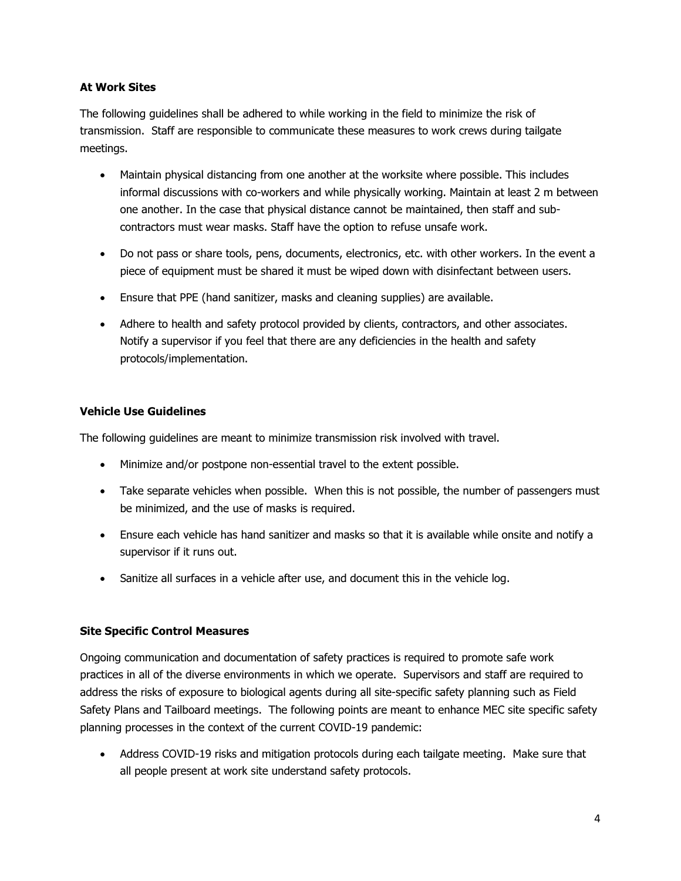## At Work Sites

The following guidelines shall be adhered to while working in the field to minimize the risk of transmission. Staff are responsible to communicate these measures to work crews during tailgate meetings.

- Maintain physical distancing from one another at the worksite where possible. This includes informal discussions with co-workers and while physically working. Maintain at least 2 m between one another. In the case that physical distance cannot be maintained, then staff and subcontractors must wear masks. Staff have the option to refuse unsafe work.
- Do not pass or share tools, pens, documents, electronics, etc. with other workers. In the event a piece of equipment must be shared it must be wiped down with disinfectant between users.
- Ensure that PPE (hand sanitizer, masks and cleaning supplies) are available.
- Adhere to health and safety protocol provided by clients, contractors, and other associates. Notify a supervisor if you feel that there are any deficiencies in the health and safety protocols/implementation.

# Vehicle Use Guidelines

The following guidelines are meant to minimize transmission risk involved with travel.

- Minimize and/or postpone non-essential travel to the extent possible.
- Take separate vehicles when possible. When this is not possible, the number of passengers must be minimized, and the use of masks is required.
- Ensure each vehicle has hand sanitizer and masks so that it is available while onsite and notify a supervisor if it runs out.
- Sanitize all surfaces in a vehicle after use, and document this in the vehicle log.

# Site Specific Control Measures

Ongoing communication and documentation of safety practices is required to promote safe work practices in all of the diverse environments in which we operate. Supervisors and staff are required to address the risks of exposure to biological agents during all site-specific safety planning such as Field Safety Plans and Tailboard meetings. The following points are meant to enhance MEC site specific safety planning processes in the context of the current COVID-19 pandemic:

• Address COVID-19 risks and mitigation protocols during each tailgate meeting. Make sure that all people present at work site understand safety protocols.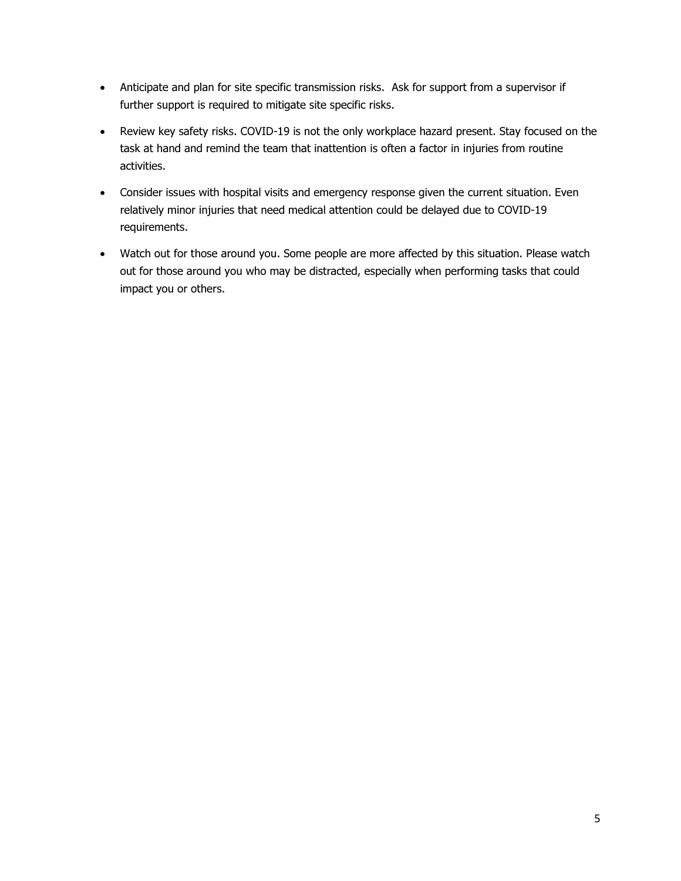- Anticipate and plan for site specific transmission risks. Ask for support from a supervisor if further support is required to mitigate site specific risks.
- Review key safety risks. COVID-19 is not the only workplace hazard present. Stay focused on the task at hand and remind the team that inattention is often a factor in injuries from routine activities.
- Consider issues with hospital visits and emergency response given the current situation. Even relatively minor injuries that need medical attention could be delayed due to COVID-19 requirements.
- Watch out for those around you. Some people are more affected by this situation. Please watch out for those around you who may be distracted, especially when performing tasks that could impact you or others.